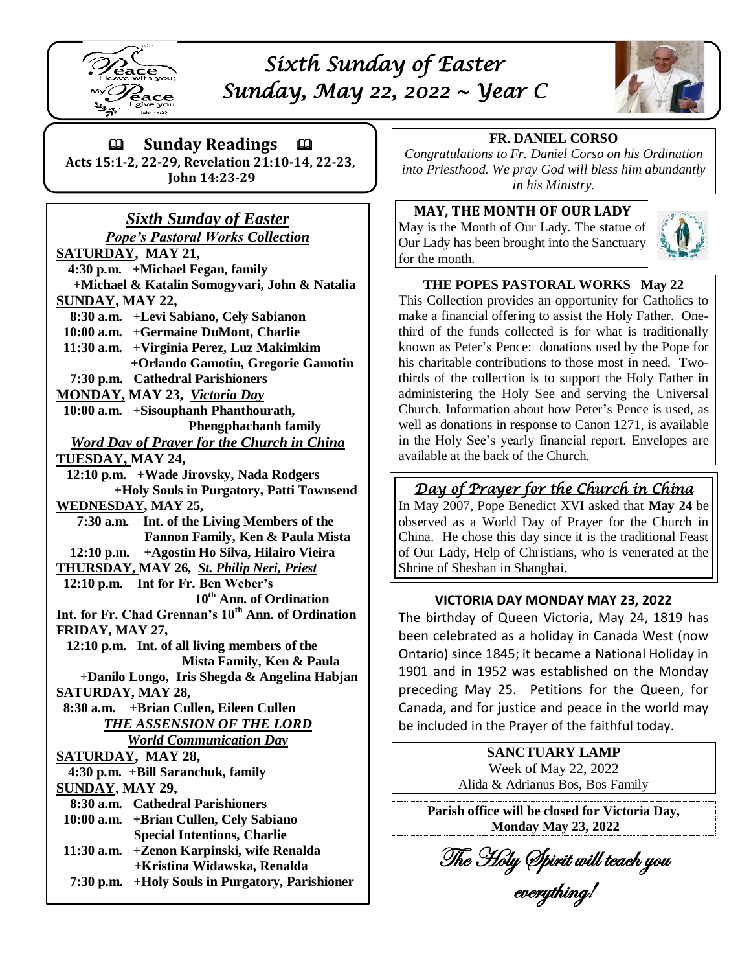

# *Sixth Sunday of Easter Sunday, May 22, 2022 ~ Year C*



 **Sunday Readings Acts 15:1-2, 22-29, Revelation 21:10-14, 22-23,**

**John 14:23-29**

#### *Sixth Sunday of Easter Pope's Pastoral Works Collection*

**SATURDAY, MAY 21, 4:30 p.m. +Michael Fegan, family +Michael & Katalin Somogyvari, John & Natalia SUNDAY, MAY 22, 8:30 a.m. +Levi Sabiano, Cely Sabianon 10:00 a.m. +Germaine DuMont, Charlie 11:30 a.m. +Virginia Perez, Luz Makimkim +Orlando Gamotin, Gregorie Gamotin 7:30 p.m. Cathedral Parishioners MONDAY, MAY 23,** *Victoria Day*  **10:00 a.m. +Sisouphanh Phanthourath, Phengphachanh family** *Word Day of Prayer for the Church in China* **TUESDAY, MAY 24, 12:10 p.m. +Wade Jirovsky, Nada Rodgers +Holy Souls in Purgatory, Patti Townsend WEDNESDAY, MAY 25, 7:30 a.m. Int. of the Living Members of the Fannon Family, Ken & Paula Mista 12:10 p.m. +Agostin Ho Silva, Hilairo Vieira THURSDAY, MAY 26,** *St. Philip Neri, Priest*  **12:10 p.m. Int for Fr. Ben Weber's 10th Ann. of Ordination Int. for Fr. Chad Grennan's 10th Ann. of Ordination FRIDAY, MAY 27, 12:10 p.m. Int. of all living members of the Mista Family, Ken & Paula +Danilo Longo, Iris Shegda & Angelina Habjan SATURDAY, MAY 28, 8:30 a.m. +Brian Cullen, Eileen Cullen** *THE ASSENSION OF THE LORD World Communication Day* **SATURDAY, MAY 28, 4:30 p.m. +Bill Saranchuk, family SUNDAY, MAY 29, 8:30 a.m. Cathedral Parishioners 10:00 a.m. +Brian Cullen, Cely Sabiano Special Intentions, Charlie 11:30 a.m. +Zenon Karpinski, wife Renalda +Kristina Widawska, Renalda 7:30 p.m. +Holy Souls in Purgatory, Parishioner** 

#### **FR. DANIEL CORSO**

*Congratulations to Fr. Daniel Corso on his Ordination into Priesthood. We pray God will bless him abundantly in his Ministry.*

### **MAY, THE MONTH OF OUR LADY**

May is the Month of Our Lady. The statue of Our Lady has been brought into the Sanctuary for the month.



## **THE POPES PASTORAL WORKS May 22**

This Collection provides an opportunity for Catholics to make a financial offering to assist the Holy Father. Onethird of the funds collected is for what is traditionally known as Peter's Pence: donations used by the Pope for his charitable contributions to those most in need. Twothirds of the collection is to support the Holy Father in administering the Holy See and serving the Universal Church. Information about how Peter's Pence is used, as well as donations in response to Canon 1271, is available in the Holy See's yearly financial report. Envelopes are available at the back of the Church.

# *Day of Prayer for the Church in China*

In May 2007, Pope Benedict XVI asked that **May 24** be observed as a World Day of Prayer for the Church in China. He chose this day since it is the traditional Feast of Our Lady, Help of Christians, who is venerated at the Shrine of Sheshan in Shanghai.

### **VICTORIA DAY MONDAY MAY 23, 2022**

The birthday of Queen Victoria, May 24, 1819 has been celebrated as a holiday in Canada West (now Ontario) since 1845; it became a National Holiday in 1901 and in 1952 was established on the Monday preceding May 25. Petitions for the Queen, for Canada, and for justice and peace in the world may be included in the Prayer of the faithful today.

> **SANCTUARY LAMP** Week of May 22, 2022 Alida & Adrianus Bos, Bos Family

**Parish office will be closed for Victoria Day, Monday May 23, 2022**

The Holy Spirit will teach you

everything!